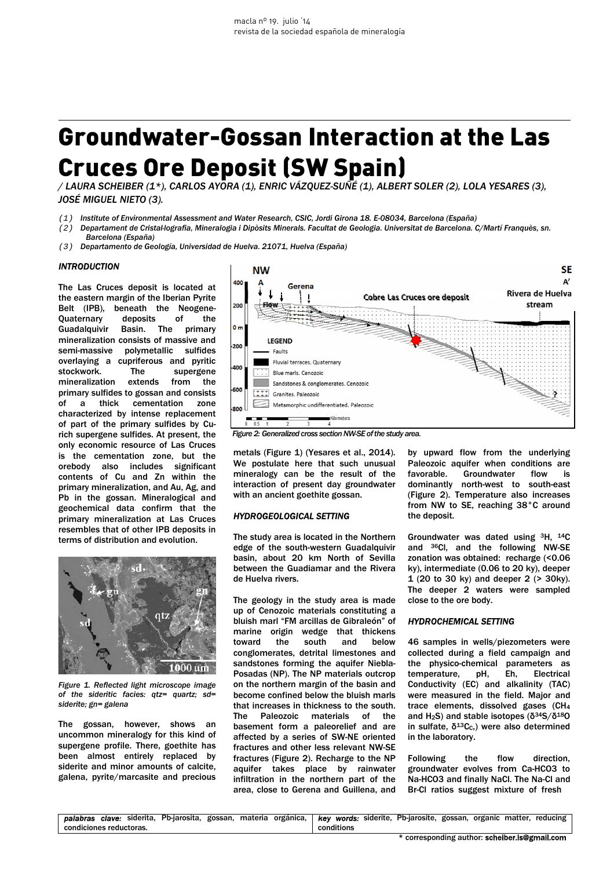# Groundwater-Gossan Interaction at the Las Cruces Ore Deposit (SW Spain)

*/ LAURA SCHEIBER (1\*), CARLOS AYORA (1), ENRIC VÁZQUEZ-SUÑÉ (1), ALBERT SOLER (2), LOLA YESARES (3), JOSÉ MIGUEL NIETO (3).* 

- (1) *Institute of Environmental Assessment and Water Research, CSIC, Jordi Girona 18. E-08034, Barcelona (España)*
- (2) *Departament de Cristal·lografia, Mineralogia i Dipòsits Minerals. Facultat de Geologia. Universitat de Barcelona. C/Martí Franquès, sn. Barcelona (España)*
- (3) *Departamento de Geología, Universidad de Huelva. 21071, Huelva (España)*

#### *INTRODUCTION*

The Las Cruces deposit is located at the eastern margin of the Iberian Pyrite Belt (IPB), beneath the Neogene-Quaternary deposits of the Guadalquivir Basin. The primary mineralization consists of massive and semi-massive polymetallic sulfides overlaying a cupriferous and pyritic stockwork. The supergene mineralization extends from the primary sulfides to gossan and consists of a thick cementation zone characterized by intense replacement of part of the primary sulfides by Curich supergene sulfides. At present, the only economic resource of Las Cruces is the cementation zone, but the orebody also includes significant contents of Cu and Zn within the primary mineralization, and Au, Ag, and Pb in the gossan. Mineralogical and geochemical data confirm that the primary mineralization at Las Cruces resembles that of other IPB deposits in terms of distribution and evolution.



*Figure 1. Reflected light microscope image of the sideritic facies: qtz= quartz; sd= siderite; gn= galena* 

The gossan, however, shows an uncommon mineralogy for this kind of supergene profile. There, goethite has been almost entirely replaced by siderite and minor amounts of calcite, galena, pyrite/marcasite and precious



metals (Figure 1) (Yesares et al., 2014). We postulate here that such unusual mineralogy can be the result of the interaction of present day groundwater with an ancient goethite gossan.

# *HYDROGEOLOGICAL SETTING*

The study area is located in the Northern edge of the south-western Guadalquivir basin, about 20 km North of Sevilla between the Guadiamar and the Rivera de Huelva rivers.

The geology in the study area is made up of Cenozoic materials constituting a bluish marl "FM arcillas de Gibraleón" of marine origin wedge that thickens toward the south and below conglomerates, detrital limestones and sandstones forming the aquifer Niebla-Posadas (NP). The NP materials outcrop on the northern margin of the basin and become confined below the bluish marls that increases in thickness to the south. The Paleozoic materials of the basement form a paleorelief and are affected by a series of SW-NE oriented fractures and other less relevant NW-SE fractures (Figure 2). Recharge to the NP aquifer takes place by rainwater infiltration in the northern part of the area, close to Gerena and Guillena, and

by upward flow from the underlying Paleozoic aquifer when conditions are favorable. Groundwater flow is dominantly north-west to south-east (Figure 2). Temperature also increases from NW to SE, reaching 38°C around the deposit.

Groundwater was dated using 3H, 14C and 36Cl, and the following NW-SE zonation was obtained: recharge (<0.06 ky), intermediate (0.06 to 20 ky), deeper 1 (20 to 30 ky) and deeper 2 (> 30ky). The deeper 2 waters were sampled close to the ore body.

#### *HYDROCHEMICAL SETTING*

46 samples in wells/piezometers were collected during a field campaign and the physico-chemical parameters as temperature, pH, Eh, Electrical Conductivity (EC) and alkalinity (TAC) were measured in the field. Major and trace elements, dissolved gases (CH<sup>4</sup> and H2S) and stable isotopes (δ34S/δ18O in sulfate,  $δ<sup>13</sup>C<sub>c</sub>$ , were also determined in the laboratory.

Following the flow direction, groundwater evolves from Ca-HCO3 to Na-HCO3 and finally NaCl. The Na-Cl and Br-Cl ratios suggest mixture of fresh

|                         |  |  | palabras clave: siderita, Pb-jarosita, gossan, materia orgánica, l |  |  |  |            | .,   key words: siderite, Pb-jarosite, gossan, organic matter, reducing |  |  |
|-------------------------|--|--|--------------------------------------------------------------------|--|--|--|------------|-------------------------------------------------------------------------|--|--|
| condiciones reductoras. |  |  |                                                                    |  |  |  | conditions |                                                                         |  |  |
|                         |  |  |                                                                    |  |  |  |            |                                                                         |  |  |

\* corresponding author: scheiber.ls@gmail.com